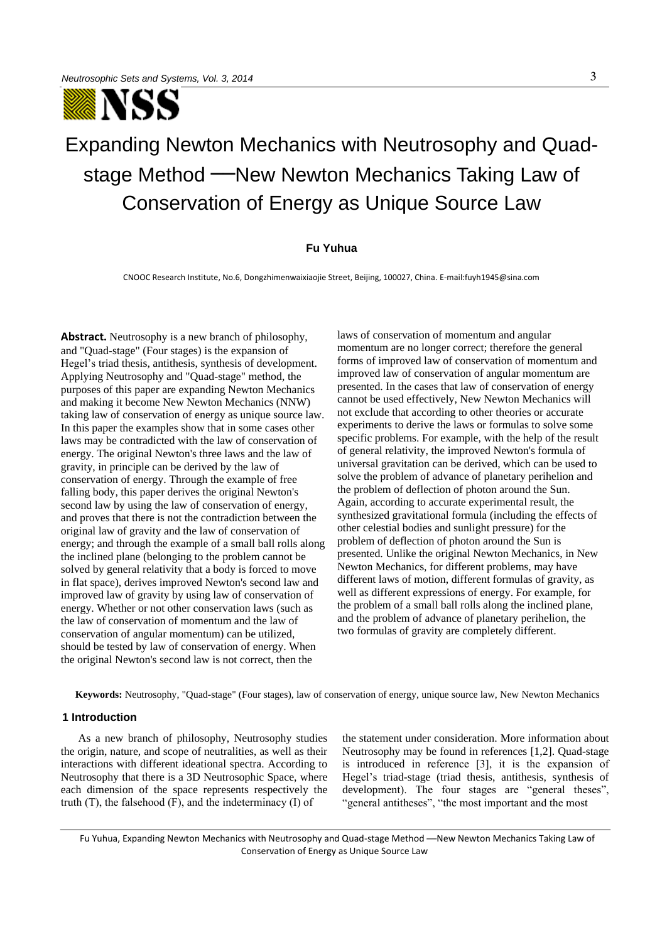

# Expanding Newton Mechanics with Neutrosophy and Quadstage Method — New Newton Mechanics Taking Law of Conservation of Energy as Unique Source Law

#### **Fu Yuhua**

CNOOC Research Institute, No.6, Dongzhimenwaixiaojie Street, Beijing, 100027, China. E-mail:fuyh1945@sina.com

**Abstract.** Neutrosophy is a new branch of philosophy, and "Quad-stage" (Four stages) is the expansion of Hegel's triad thesis, antithesis, synthesis of development. Applying Neutrosophy and "Quad-stage" method, the purposes of this paper are expanding Newton Mechanics and making it become New Newton Mechanics (NNW) taking law of conservation of energy as unique source law. In this paper the examples show that in some cases other laws may be contradicted with the law of conservation of energy. The original Newton's three laws and the law of gravity, in principle can be derived by the law of conservation of energy. Through the example of free falling body, this paper derives the original Newton's second law by using the law of conservation of energy, and proves that there is not the contradiction between the original law of gravity and the law of conservation of energy; and through the example of a small ball rolls along the inclined plane (belonging to the problem cannot be solved by general relativity that a body is forced to move in flat space), derives improved Newton's second law and improved law of gravity by using law of conservation of energy. Whether or not other conservation laws (such as the law of conservation of momentum and the law of conservation of angular momentum) can be utilized, should be tested by law of conservation of energy. When the original Newton's second law is not correct, then the

laws of conservation of momentum and angular momentum are no longer correct; therefore the general forms of improved law of conservation of momentum and improved law of conservation of angular momentum are presented. In the cases that law of conservation of energy cannot be used effectively, New Newton Mechanics will not exclude that according to other theories or accurate experiments to derive the laws or formulas to solve some specific problems. For example, with the help of the result of general relativity, the improved Newton's formula of universal gravitation can be derived, which can be used to solve the problem of advance of planetary perihelion and the problem of deflection of photon around the Sun. Again, according to accurate experimental result, the synthesized gravitational formula (including the effects of other celestial bodies and sunlight pressure) for the problem of deflection of photon around the Sun is presented. Unlike the original Newton Mechanics, in New Newton Mechanics, for different problems, may have different laws of motion, different formulas of gravity, as well as different expressions of energy. For example, for the problem of a small ball rolls along the inclined plane, and the problem of advance of planetary perihelion, the two formulas of gravity are completely different.

**Keywords:** Neutrosophy, "Quad-stage" (Four stages), law of conservation of energy, unique source law, New Newton Mechanics

#### **1 Introduction**

As a new branch of philosophy, Neutrosophy studies the origin, nature, and scope of neutralities, as well as their interactions with different ideational spectra. According to Neutrosophy that there is a 3D Neutrosophic Space, where each dimension of the space represents respectively the truth  $(T)$ , the falsehood  $(F)$ , and the indeterminacy  $(I)$  of

the statement under consideration. More information about Neutrosophy may be found in references [1,2]. Quad-stage is introduced in reference [3], it is the expansion of Hegel's triad-stage (triad thesis, antithesis, synthesis of development). The four stages are "general theses", "general antitheses", "the most important and the most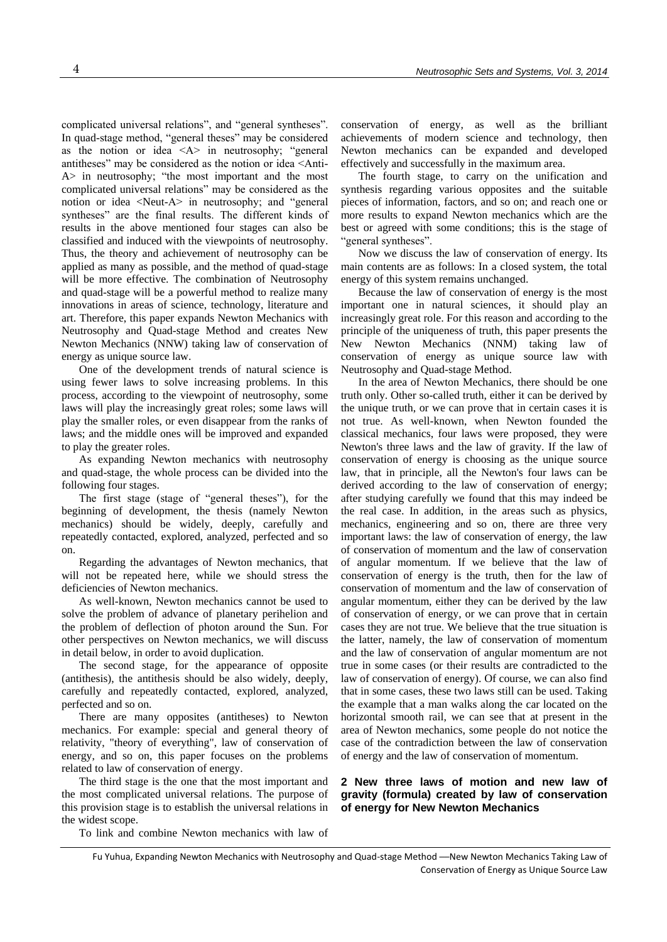complicated universal relations", and "general syntheses". In quad-stage method, "general theses" may be considered as the notion or idea  $\langle A \rangle$  in neutrosophy; "general antitheses" may be considered as the notion or idea <Anti-A> in neutrosophy; "the most important and the most complicated universal relations" may be considered as the notion or idea <Neut-A> in neutrosophy; and "general syntheses" are the final results. The different kinds of results in the above mentioned four stages can also be classified and induced with the viewpoints of neutrosophy. Thus, the theory and achievement of neutrosophy can be applied as many as possible, and the method of quad-stage will be more effective. The combination of Neutrosophy and quad-stage will be a powerful method to realize many innovations in areas of science, technology, literature and art. Therefore, this paper expands Newton Mechanics with Neutrosophy and Quad-stage Method and creates New Newton Mechanics (NNW) taking law of conservation of energy as unique source law.

One of the development trends of natural science is using fewer laws to solve increasing problems. In this process, according to the viewpoint of neutrosophy, some laws will play the increasingly great roles; some laws will play the smaller roles, or even disappear from the ranks of laws; and the middle ones will be improved and expanded to play the greater roles.

As expanding Newton mechanics with neutrosophy and quad-stage, the whole process can be divided into the following four stages.

The first stage (stage of "general theses"), for the beginning of development, the thesis (namely Newton mechanics) should be widely, deeply, carefully and repeatedly contacted, explored, analyzed, perfected and so on.

Regarding the advantages of Newton mechanics, that will not be repeated here, while we should stress the deficiencies of Newton mechanics.

As well-known, Newton mechanics cannot be used to solve the problem of advance of planetary perihelion and the problem of deflection of photon around the Sun. For other perspectives on Newton mechanics, we will discuss in detail below, in order to avoid duplication.

The second stage, for the appearance of opposite (antithesis), the antithesis should be also widely, deeply, carefully and repeatedly contacted, explored, analyzed, perfected and so on.

There are many opposites (antitheses) to Newton mechanics. For example: special and general theory of relativity, "theory of everything", law of conservation of energy, and so on, this paper focuses on the problems related to law of conservation of energy.

The third stage is the one that the most important and the most complicated universal relations. The purpose of this provision stage is to establish the universal relations in the widest scope.

To link and combine Newton mechanics with law of

conservation of energy, as well as the brilliant achievements of modern science and technology, then Newton mechanics can be expanded and developed effectively and successfully in the maximum area.

The fourth stage, to carry on the unification and synthesis regarding various opposites and the suitable pieces of information, factors, and so on; and reach one or more results to expand Newton mechanics which are the best or agreed with some conditions; this is the stage of "general syntheses".

Now we discuss the law of conservation of energy. Its main contents are as follows: In a closed system, the total energy of this system remains unchanged.

Because the law of conservation of energy is the most important one in natural sciences, it should play an increasingly great role. For this reason and according to the principle of the uniqueness of truth, this paper presents the New Newton Mechanics (NNM) taking law of conservation of energy as unique source law with Neutrosophy and Quad-stage Method.

In the area of Newton Mechanics, there should be one truth only. Other so-called truth, either it can be derived by the unique truth, or we can prove that in certain cases it is not true. As well-known, when Newton founded the classical mechanics, four laws were proposed, they were Newton's three laws and the law of gravity. If the law of conservation of energy is choosing as the unique source law, that in principle, all the Newton's four laws can be derived according to the law of conservation of energy; after studying carefully we found that this may indeed be the real case. In addition, in the areas such as physics, mechanics, engineering and so on, there are three very important laws: the law of conservation of energy, the law of conservation of momentum and the law of conservation of angular momentum. If we believe that the law of conservation of energy is the truth, then for the law of conservation of momentum and the law of conservation of angular momentum, either they can be derived by the law of conservation of energy, or we can prove that in certain cases they are not true. We believe that the true situation is the latter, namely, the law of conservation of momentum and the law of conservation of angular momentum are not true in some cases (or their results are contradicted to the law of conservation of energy). Of course, we can also find that in some cases, these two laws still can be used. Taking the example that a man walks along the car located on the horizontal smooth rail, we can see that at present in the area of Newton mechanics, some people do not notice the case of the contradiction between the law of conservation of energy and the law of conservation of momentum.

**2 New three laws of motion and new law of gravity (formula) created by law of conservation of energy for New Newton Mechanics** 

Fu Yuhua, Expanding Newton Mechanics with Neutrosophy and Quad-stage Method ──New Newton Mechanics Taking Law of Conservation of Energy as Unique Source Law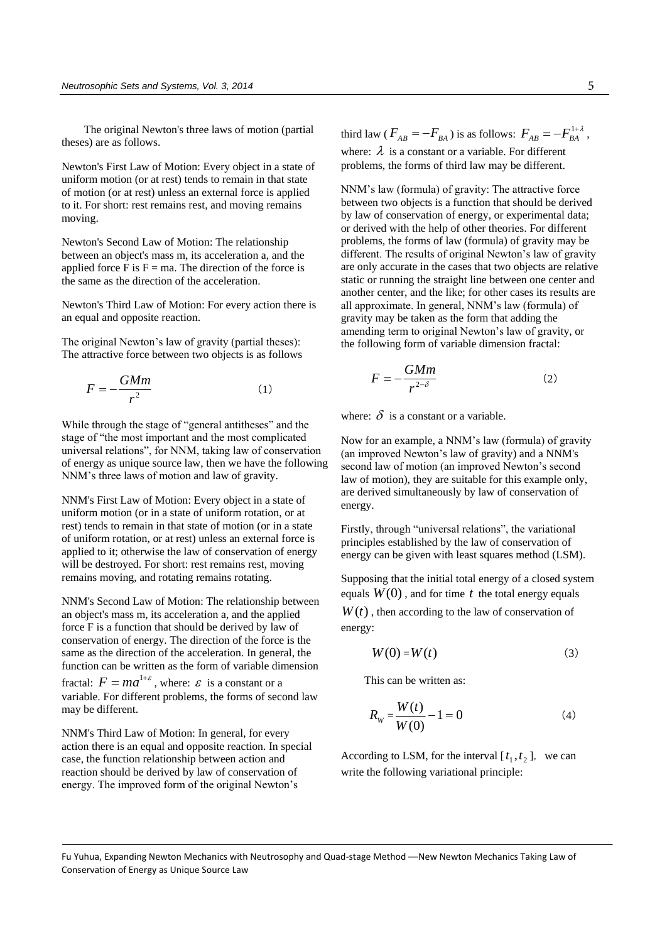The original Newton's three laws of motion (partial theses) are as follows.

Newton's First Law of Motion: Every object in a state of uniform motion (or at rest) tends to remain in that state of motion (or at rest) unless an external force is applied to it. For short: rest remains rest, and moving remains moving.

Newton's Second Law of Motion: The relationship between an object's mass m, its acceleration a, and the applied force F is  $F = ma$ . The direction of the force is the same as the direction of the acceleration.

Newton's Third Law of Motion: For every action there is an equal and opposite reaction.

The original Newton's law of gravity (partial theses): The attractive force between two objects is as follows

$$
F = -\frac{GMm}{r^2} \tag{1}
$$

While through the stage of "general antitheses" and the stage of "the most important and the most complicated universal relations", for NNM, taking law of conservation of energy as unique source law, then we have the following NNM's three laws of motion and law of gravity.

NNM's First Law of Motion: Every object in a state of uniform motion (or in a state of uniform rotation, or at rest) tends to remain in that state of motion (or in a state of uniform rotation, or at rest) unless an external force is applied to it; otherwise the law of conservation of energy will be destroyed. For short: rest remains rest, moving remains moving, and rotating remains rotating.

NNM's Second Law of Motion: The relationship between an object's mass m, its acceleration a, and the applied force F is a function that should be derived by law of conservation of energy. The direction of the force is the same as the direction of the acceleration. In general, the function can be written as the form of variable dimension fractal:  $F = ma^{1+\varepsilon}$ , where:  $\varepsilon$  is a constant or a variable. For different problems, the forms of second law may be different.

NNM's Third Law of Motion: In general, for every action there is an equal and opposite reaction. In special case, the function relationship between action and reaction should be derived by law of conservation of energy. The improved form of the original Newton's

third law ( $F_{AB} = -F_{BA}$ ) is as follows:  $F_{AB} = -F_{BA}^{1+\lambda}$ , where:  $\lambda$  is a constant or a variable. For different problems, the forms of third law may be different.

NNM's law (formula) of gravity: The attractive force between two objects is a function that should be derived by law of conservation of energy, or experimental data; or derived with the help of other theories. For different problems, the forms of law (formula) of gravity may be different. The results of original Newton's law of gravity are only accurate in the cases that two objects are relative static or running the straight line between one center and another center, and the like; for other cases its results are all approximate. In general, NNM's law (formula) of gravity may be taken as the form that adding the amending term to original Newton's law of gravity, or the following form of variable dimension fractal:

$$
F = -\frac{GMm}{r^{2-\delta}}\tag{2}
$$

where:  $\delta$  is a constant or a variable.

Now for an example, a NNM's law (formula) of gravity (an improved Newton's law of gravity) and a NNM's second law of motion (an improved Newton's second law of motion), they are suitable for this example only, are derived simultaneously by law of conservation of energy.

Firstly, through "universal relations", the variational principles established by the law of conservation of energy can be given with least squares method (LSM).

Supposing that the initial total energy of a closed system equals  $W(0)$ , and for time  $t$  the total energy equals

 $W(t)$ , then according to the law of conservation of energy:

$$
W(0) = W(t) \tag{3}
$$

This can be written as:

$$
R_{W} = \frac{W(t)}{W(0)} - 1 = 0
$$
 (4)

According to LSM, for the interval  $[t_1, t_2]$ , we can write the following variational principle: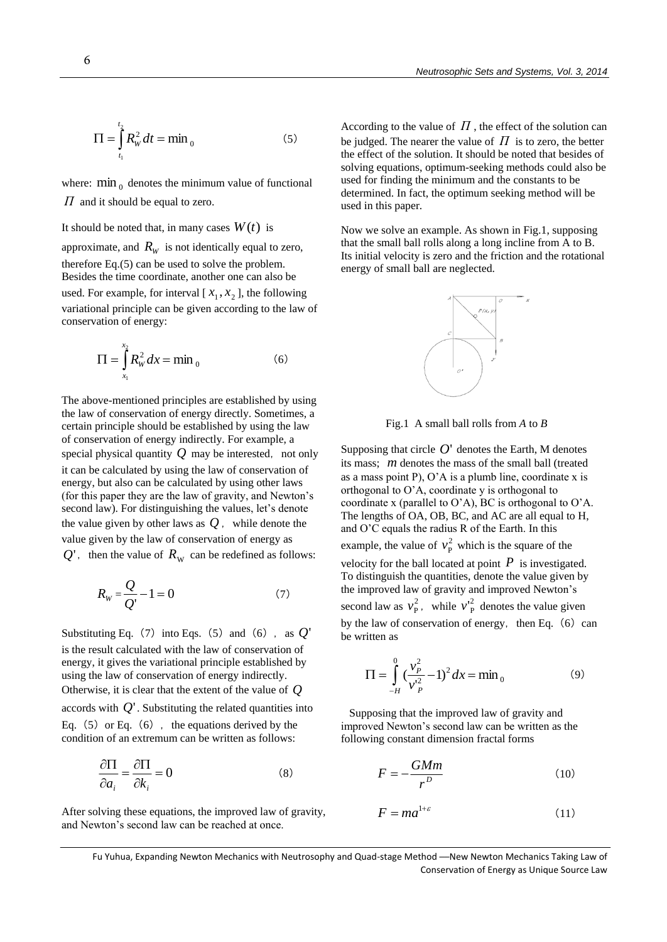$$
\Pi = \int_{t_1}^{t_2} R_W^2 dt = \min_0 \tag{5}
$$

where:  $\min_0$  denotes the minimum value of functional *Π* and it should be equal to zero.

## It should be noted that, in many cases  $W(t)$  is

approximate, and  $R_W$  is not identically equal to zero, therefore Eq.(5) can be used to solve the problem. Besides the time coordinate, another one can also be used. For example, for interval  $[x_1, x_2]$ , the following variational principle can be given according to the law of conservation of energy:

$$
\Pi = \int_{x_1}^{x_2} R_w^2 dx = \min_0
$$
 (6)

The above-mentioned principles are established by using the law of conservation of energy directly. Sometimes, a certain principle should be established by using the law of conservation of energy indirectly. For example, a special physical quantity  $Q$  may be interested, not only it can be calculated by using the law of conservation of energy, but also can be calculated by using other laws (for this paper they are the law of gravity, and Newton's second law). For distinguishing the values, let's denote the value given by other laws as  $Q$ , while denote the value given by the law of conservation of energy as  $Q'$ , then the value of  $R_{\rm W}$  can be redefined as follows:

$$
R_{\rm w} = \frac{Q}{Q'} - 1 = 0\tag{7}
$$

Substituting Eq. (7) into Eqs. (5) and (6), as  $Q'$ is the result calculated with the law of conservation of energy, it gives the variational principle established by using the law of conservation of energy indirectly. Otherwise, it is clear that the extent of the value of *Q* accords with  $Q'$ . Substituting the related quantities into Eq.  $(5)$  or Eq.  $(6)$ , the equations derived by the condition of an extremum can be written as follows:

$$
\frac{\partial \Pi}{\partial a_i} = \frac{\partial \Pi}{\partial k_i} = 0
$$
 (8)

After solving these equations, the improved law of gravity, and Newton's second law can be reached at once.

According to the value of  $\Pi$ , the effect of the solution can be judged. The nearer the value of  $\Pi$  is to zero, the better the effect of the solution. It should be noted that besides of solving equations, optimum-seeking methods could also be used for finding the minimum and the constants to be determined. In fact, the optimum seeking method will be used in this paper.

Now we solve an example. As shown in Fig.1, supposing that the small ball rolls along a long incline from A to B. Its initial velocity is zero and the friction and the rotational energy of small ball are neglected.



Fig.1 A small ball rolls from *A* to *B*

Supposing that circle  $O'$  denotes the Earth, M denotes its mass; *m* denotes the mass of the small ball (treated as a mass point P),  $O'A$  is a plumb line, coordinate x is orthogonal to O'A, coordinate y is orthogonal to coordinate x (parallel to O'A), BC is orthogonal to O'A. The lengths of OA, OB, BC, and AC are all equal to H, and O'C equals the radius R of the Earth. In this example, the value of  $v_{\rm p}^2$  $v_P^2$  which is the square of the velocity for the ball located at point  $P$  is investigated. To distinguish the quantities, denote the value given by the improved law of gravity and improved Newton's second law as  $v_{\rm p}^2$  $v_P^2$ , while  $v_P^2$  $v_{\rm p}^{\prime 2}$  denotes the value given by the law of conservation of energy, then Eq.  $(6)$  can be written as

$$
\Pi = \int_{-H}^{0} \left(\frac{v_P^2}{v_P^2} - 1\right)^2 dx = \min_0
$$
 (9)

 Supposing that the improved law of gravity and improved Newton's second law can be written as the following constant dimension fractal forms

$$
F = -\frac{GMm}{r^D} \tag{10}
$$

$$
F = ma^{1+\varepsilon} \tag{11}
$$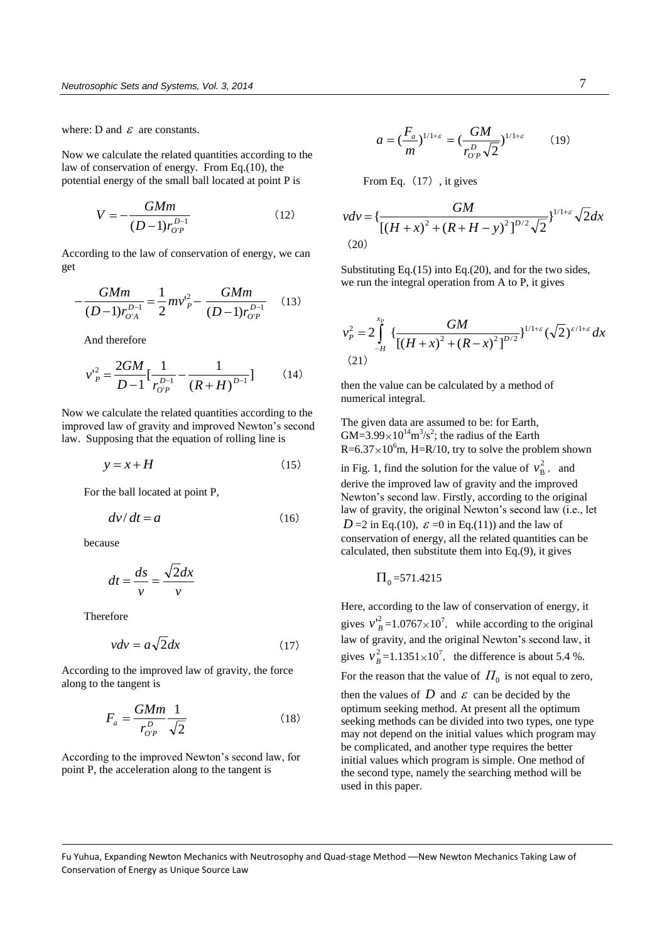where: D and  $\varepsilon$  are constants.

Now we calculate the related quantities according to the law of conservation of energy. From Eq.(10), the potential energy of the small ball located at point P is

$$
V = -\frac{GMm}{(D-1)r_{O'P}^{D-1}}
$$
 (12)

According to the law of conservation of energy, we can get

$$
-\frac{GMm}{(D-1)r_{O'A}^{D-1}} = \frac{1}{2}mv_P^2 - \frac{GMm}{(D-1)r_{O'P}^{D-1}}
$$
 (13)

And therefore

$$
v_{P}^{2} = \frac{2GM}{D-1} \left[ \frac{1}{r_{OP}^{D-1}} - \frac{1}{\left(R+H\right)^{D-1}} \right] \tag{14}
$$

Now we calculate the related quantities according to the improved law of gravity and improved Newton's second law. Supposing that the equation of rolling line is

$$
y = x + H \tag{15}
$$

For the ball located at point P,

$$
dv/dt = a \tag{16}
$$

because

$$
dt = \frac{ds}{v} = \frac{\sqrt{2}dx}{v}
$$

Therefore

$$
vdv = a\sqrt{2}dx\tag{17}
$$

According to the improved law of gravity, the force along to the tangent is

$$
F_a = \frac{GMm}{r_{O'P}^D} \frac{1}{\sqrt{2}}\tag{18}
$$

According to the improved Newton's second law, for point P, the acceleration along to the tangent is

$$
a = \left(\frac{F_a}{m}\right)^{1/1+\varepsilon} = \left(\frac{GM}{r_{O'P}^D \sqrt{2}}\right)^{1/1+\varepsilon} \tag{19}
$$

From Eq. (17), it gives

$$
vdv = \left\{ \frac{GM}{\left[ (H+x)^2 + (R+H-y)^2 \right]^{D/2} \sqrt{2}} \right\}^{1/1+\varepsilon} \sqrt{2} dx
$$
\n(20)

Substituting Eq.(15) into Eq.(20), and for the two sides, we run the integral operation from A to P, it gives

$$
v_P^2 = 2 \int_{-H}^{x_P} \left\{ \frac{GM}{[(H+x)^2 + (R-x)^2]^{D/2}} \right\}^{1/1+\varepsilon} (\sqrt{2})^{\varepsilon/1+\varepsilon} dx
$$
\n(21)

then the value can be calculated by a method of numerical integral.

The given data are assumed to be: for Earth,  $GM = 3.99 \times 10^{14} \text{m}^3/\text{s}^2$ ; the radius of the Earth  $R=6.37\times10^6$ m, H=R/10, try to solve the problem shown

in Fig. 1, find the solution for the value of  $v_R^2$  $v_B^2$ , and derive the improved law of gravity and the improved Newton's second law. Firstly, according to the original law of gravity, the original Newton's second law (i.e., let  $D = 2$  in Eq.(10),  $\varepsilon = 0$  in Eq.(11)) and the law of conservation of energy, all the related quantities can be calculated, then substitute them into Eq.(9), it gives

$$
\Pi_0\texttt{=}571.4215
$$

Here, according to the law of conservation of energy, it gives  $v_B^2 = 1.0767 \times 10^7$ , while according to the original law of gravity, and the original Newton's second law, it gives  $v_B^2 = 1.1351 \times 10^7$ , the difference is about 5.4 %.

For the reason that the value of  $\Pi_0$  is not equal to zero,

then the values of  $D$  and  $\varepsilon$  can be decided by the optimum seeking method. At present all the optimum seeking methods can be divided into two types, one type may not depend on the initial values which program may be complicated, and another type requires the better initial values which program is simple. One method of the second type, namely the searching method will be used in this paper.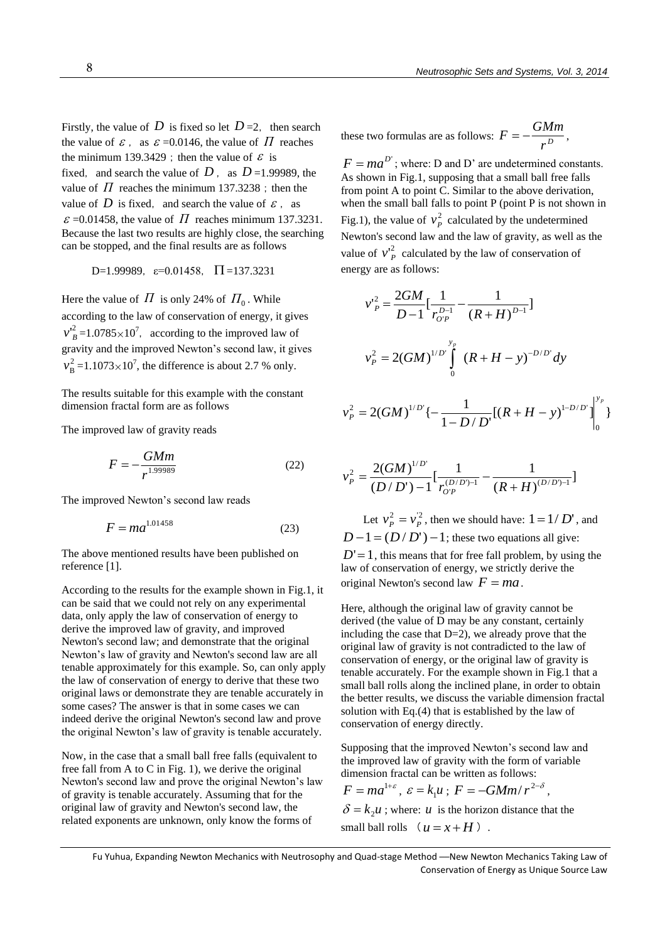Firstly, the value of D is fixed so let  $D=2$ , then search the value of  $\varepsilon$ , as  $\varepsilon$  =0.0146, the value of  $\Pi$  reaches the minimum 139.3429; then the value of  $\varepsilon$  is fixed, and search the value of  $D$ , as  $D=1.99989$ , the value of  $\Pi$  reaches the minimum 137.3238; then the value of D is fixed, and search the value of  $\varepsilon$ , as  $\varepsilon$  =0.01458, the value of  $\Pi$  reaches minimum 137.3231. Because the last two results are highly close, the searching can be stopped, and the final results are as follows

$$
D=1.99989, \varepsilon=0.01458, \Pi=137.3231
$$

Here the value of  $\Pi$  is only 24% of  $\Pi_0$ . While according to the law of conservation of energy, it gives  $v_B^2 = 1.0785 \times 10^7$ , according to the improved law of gravity and the improved Newton's second law, it gives 2  $v_B^2 = 1.1073 \times 10^7$ , the difference is about 2.7 % only.

The results suitable for this example with the constant dimension fractal form are as follows

The improved law of gravity reads

$$
F = -\frac{GMm}{r^{1.99989}}
$$
 (22)

The improved Newton's second law reads

$$
F = ma^{1.01458} \tag{23}
$$

The above mentioned results have been published on reference [1].

According to the results for the example shown in Fig.1, it can be said that we could not rely on any experimental data, only apply the law of conservation of energy to derive the improved law of gravity, and improved Newton's second law; and demonstrate that the original Newton's law of gravity and Newton's second law are all tenable approximately for this example. So, can only apply the law of conservation of energy to derive that these two original laws or demonstrate they are tenable accurately in some cases? The answer is that in some cases we can indeed derive the original Newton's second law and prove the original Newton's law of gravity is tenable accurately.

Now, in the case that a small ball free falls (equivalent to free fall from A to C in Fig. 1), we derive the original Newton's second law and prove the original Newton's law of gravity is tenable accurately. Assuming that for the original law of gravity and Newton's second law, the related exponents are unknown, only know the forms of

these two formulas are as follows: 
$$
F = -\frac{GMm}{r^D}
$$
,

 $F = ma^{D'}$ ; where: D and D' are undetermined constants. As shown in Fig.1, supposing that a small ball free falls from point A to point C. Similar to the above derivation, when the small ball falls to point P (point P is not shown in Fig.1), the value of  $v_p^2$  $v_P^2$  calculated by the undetermined Newton's second law and the law of gravity, as well as the value of  $v_p^2$  calculated by the law of conservation of energy are as follows:

$$
v_P^2 = \frac{2GM}{D-1} \left[ \frac{1}{r_{OP}^{D-1}} - \frac{1}{(R+H)^{D-1}} \right]
$$
  

$$
v_P^2 = 2(GM)^{1/D'} \int_0^{y_p} (R+H-y)^{-D/D'} dy
$$
  

$$
v_P^2 = 2(GM)^{1/D'} \left\{ -\frac{1}{1-D/D'} [(R+H-y)^{1-D/D'}]_0^{y_p} \right\}
$$

0

$$
v_P^2 = \frac{2(GM)^{1/D'}}{(D/D') - 1} \left[ \frac{1}{r_{O'P}^{(D/D)-1}} - \frac{1}{(R+H)^{(D/D)-1}} \right]
$$

Let  $v_p^2 = v_p^2$  $v_P^2 = v_P^2$ , then we should have:  $1 = 1/D'$ , and  $D-1 = (D/D') - 1$ ; these two equations all give:  $D' = 1$ , this means that for free fall problem, by using the law of conservation of energy, we strictly derive the original Newton's second law  $F = ma$ .

Here, although the original law of gravity cannot be derived (the value of D may be any constant, certainly including the case that  $D=2$ ), we already prove that the original law of gravity is not contradicted to the law of conservation of energy, or the original law of gravity is tenable accurately. For the example shown in Fig.1 that a small ball rolls along the inclined plane, in order to obtain the better results, we discuss the variable dimension fractal solution with Eq.(4) that is established by the law of conservation of energy directly.

Supposing that the improved Newton's second law and the improved law of gravity with the form of variable dimension fractal can be written as follows:

$$
F = ma^{1+\varepsilon}, \ \varepsilon = k_1 u \ ; \ F = -GMm/r^{2-\delta},
$$

 $\delta = k_2 u$ ; where: *u* is the horizon distance that the small ball rolls  $(u = x + H)$ .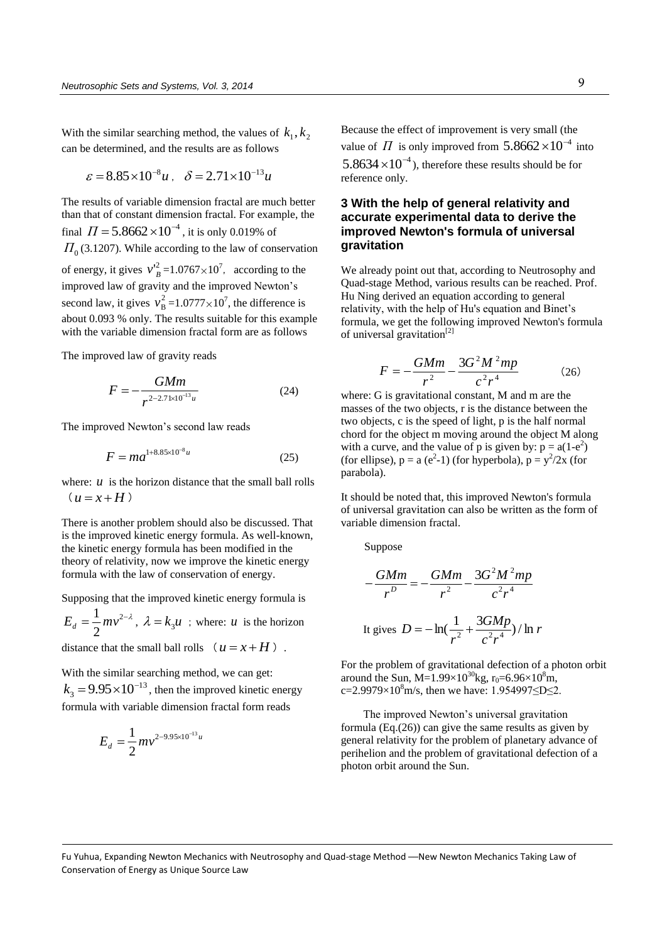With the similar searching method, the values of  $k_1, k_2$ can be determined, and the results are as follows

$$
\varepsilon = 8.85 \times 10^{-8} u
$$
,  $\delta = 2.71 \times 10^{-13} u$ 

The results of variable dimension fractal are much better than that of constant dimension fractal. For example, the final  $\Pi = 5.8662 \times 10^{-4}$ , it is only 0.019% of  $\Pi_{0}$  (3.1207). While according to the law of conservation of energy, it gives  $v_B^2 = 1.0767 \times 10^7$ , according to the improved law of gravity and the improved Newton's second law, it gives  $v_R^2$  $v_B^2 = 1.0777 \times 10^7$ , the difference is about 0.093 % only. The results suitable for this example with the variable dimension fractal form are as follows

The improved law of gravity reads

$$
F = -\frac{GMm}{r^{2-2.71 \times 10^{-13}u}}\tag{24}
$$

The improved Newton's second law reads

$$
F = ma^{1+8.85 \times 10^{-8}u}
$$
 (25)

where:  $u$  is the horizon distance that the small ball rolls  $(u=x+H)$ 

There is another problem should also be discussed. That is the improved kinetic energy formula. As well-known, the kinetic energy formula has been modified in the theory of relativity, now we improve the kinetic energy formula with the law of conservation of energy.

Supposing that the improved kinetic energy formula is

 $=\frac{1}{2}mv^{2-\lambda}$ 2  $E_d = \frac{1}{2}mv^{2-\lambda}$ ,  $\lambda = k_3u$ ; where: *u* is the horizon

distance that the small ball rolls  $(u = x + H)$ .

With the similar searching method, we can get: 13  $k_3 = 9.95 \times 10^{-13}$ , then the improved kinetic energy formula with variable dimension fractal form reads

$$
E_d = \frac{1}{2} m v^{2-9.95 \times 10^{-13} u}
$$

Because the effect of improvement is very small (the value of  $\Pi$  is only improved from  $5.8662 \times 10^{-4}$  into  $5.8634 \times 10^{-4}$ ), therefore these results should be for reference only.

## **3 With the help of general relativity and accurate experimental data to derive the improved Newton's formula of universal gravitation**

We already point out that, according to Neutrosophy and Quad-stage Method, various results can be reached. Prof. Hu Ning derived an equation according to general relativity, with the help of Hu's equation and Binet's formula, we get the following improved Newton's formula of universal gravitation<sup>[2]</sup>

$$
F = -\frac{GMm}{r^2} - \frac{3G^2M^2mp}{c^2r^4}
$$
 (26)

where: G is gravitational constant, M and m are the masses of the two objects, r is the distance between the two objects, c is the speed of light, p is the half normal chord for the object m moving around the object M along with a curve, and the value of p is given by:  $p = a(1-e^2)$ (for ellipse),  $p = a (e^2-1)$  (for hyperbola),  $p = y^2/2x$  (for parabola).

It should be noted that, this improved Newton's formula of universal gravitation can also be written as the form of variable dimension fractal.

Suppose

$$
-\frac{GMm}{r^D} = -\frac{GMm}{r^2} - \frac{3G^2M^2mp}{c^2r^4}
$$
  
It gives 
$$
D = -\ln(\frac{1}{r^2} + \frac{3GMp}{c^2r^4})/\ln r
$$

For the problem of gravitational defection of a photon orbit around the Sun, M=1.99×10<sup>30</sup>kg, r<sub>0</sub>=6.96×10<sup>8</sup>m, c=2.9979×10<sup>8</sup>m/s, then we have: 1.954997≤D≤2.

The improved Newton's universal gravitation formula (Eq.(26)) can give the same results as given by general relativity for the problem of planetary advance of perihelion and the problem of gravitational defection of a photon orbit around the Sun.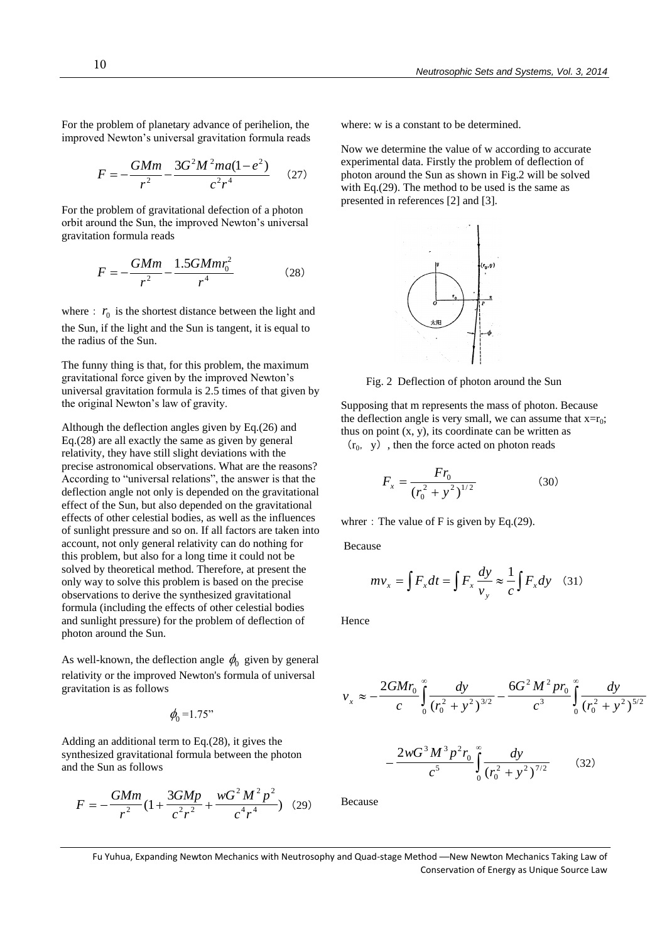For the problem of planetary advance of perihelion, the improved Newton's universal gravitation formula reads

$$
F = -\frac{GMm}{r^2} - \frac{3G^2M^2ma(1-e^2)}{c^2r^4} \qquad (27)
$$

For the problem of gravitational defection of a photon orbit around the Sun, the improved Newton's universal gravitation formula reads

$$
F = -\frac{GMm}{r^2} - \frac{1.5GMmr_0^2}{r^4} \tag{28}
$$

where  $\therefore$   $r_0$  is the shortest distance between the light and the Sun, if the light and the Sun is tangent, it is equal to the radius of the Sun.

The funny thing is that, for this problem, the maximum gravitational force given by the improved Newton's universal gravitation formula is 2.5 times of that given by the original Newton's law of gravity.

Although the deflection angles given by Eq.(26) and Eq.(28) are all exactly the same as given by general relativity, they have still slight deviations with the precise astronomical observations. What are the reasons? According to "universal relations", the answer is that the deflection angle not only is depended on the gravitational effect of the Sun, but also depended on the gravitational effects of other celestial bodies, as well as the influences of sunlight pressure and so on. If all factors are taken into account, not only general relativity can do nothing for this problem, but also for a long time it could not be solved by theoretical method. Therefore, at present the only way to solve this problem is based on the precise observations to derive the synthesized gravitational formula (including the effects of other celestial bodies and sunlight pressure) for the problem of deflection of photon around the Sun.

As well-known, the deflection angle  $\phi_0$  given by general relativity or the improved Newton's formula of universal gravitation is as follows

$$
\phi_0 = 1.75
$$

Adding an additional term to Eq.(28), it gives the synthesized gravitational formula between the photon and the Sun as follows

$$
F = -\frac{GMm}{r^2} (1 + \frac{3GMp}{c^2 r^2} + \frac{wG^2 M^2 p^2}{c^4 r^4})
$$
 (29)

where: w is a constant to be determined.

Now we determine the value of w according to accurate experimental data. Firstly the problem of deflection of photon around the Sun as shown in Fig.2 will be solved with Eq.(29). The method to be used is the same as presented in references [2] and [3].



Fig. 2 Deflection of photon around the Sun

Supposing that m represents the mass of photon. Because the deflection angle is very small, we can assume that  $x=r_0$ ; thus on point  $(x, y)$ , its coordinate can be written as

 $(r_0, y)$ , then the force acted on photon reads

$$
F_x = \frac{Fr_0}{(r_0^2 + y^2)^{1/2}}
$$
 (30)

whrer: The value of F is given by Eq.(29).

5

*c*

Because

$$
mv_x = \int F_x dt = \int F_x \frac{dy}{v_y} \approx \frac{1}{c} \int F_x dy \quad (31)
$$

Hence

$$
v_x \approx -\frac{2GMr_0}{c} \int_0^\infty \frac{dy}{(r_0^2 + y^2)^{3/2}} - \frac{6G^2 M^2 pr_0}{c^3} \int_0^\infty \frac{dy}{(r_0^2 + y^2)^{5/2}}
$$

$$
-\frac{2wG^3 M^3 p^2 r_0}{c^5} \int_0^\infty \frac{dy}{(r^2 + y^2)^{7/2}} \qquad (32)
$$

 $\overline{+}$ 

 $\frac{dy}{(r_0^2 + y^2)}$ 

 $\int_0^1 \frac{dy}{(r_0^2 + y^2)^{7/2}}$ 

/

(32)

Because

 $\overline{\phantom{a}}$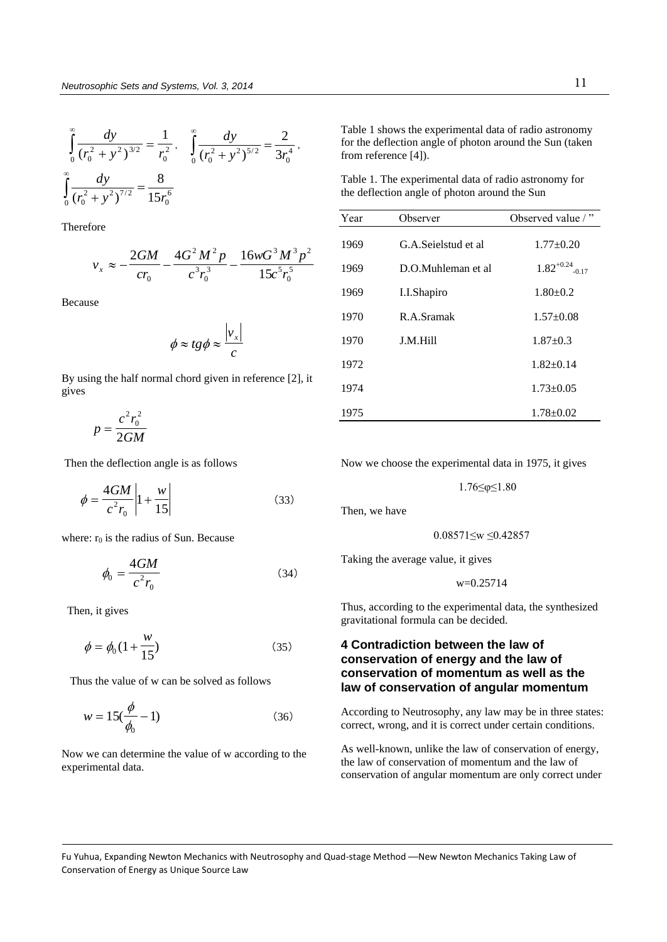$$
\int_{0}^{\infty} \frac{dy}{(r_0^2 + y^2)^{3/2}} = \frac{1}{r_0^2}, \quad \int_{0}^{\infty} \frac{dy}{(r_0^2 + y^2)^{5/2}} = \frac{2}{3r_0^4}
$$

$$
\int_{0}^{\infty} \frac{dy}{(r_0^2 + y^2)^{7/2}} = \frac{8}{15r_0^6}
$$

Therefore

$$
v_x \approx -\frac{2GM}{cr_0} - \frac{4G^2M^2p}{c^3r_0^3} - \frac{16wG^3M^3p^2}{15c^5r_0^5}
$$

,

Because

$$
\phi \approx t g \phi \approx \frac{|v_x|}{c}
$$

By using the half normal chord given in reference [2], it gives

$$
p = \frac{c^2 r_0^2}{2GM}
$$

Then the deflection angle is as follows

$$
\phi = \frac{4GM}{c^2 r_0} \left| 1 + \frac{w}{15} \right| \tag{33}
$$

where:  $r_0$  is the radius of Sun. Because

$$
\phi_0 = \frac{4GM}{c^2 r_0} \tag{34}
$$

Then, it gives

$$
\phi = \phi_0 \left( 1 + \frac{w}{15} \right) \tag{35}
$$

Thus the value of w can be solved as follows

$$
w = 15(\frac{\phi}{\phi_0} - 1)
$$
 (36)

Now we can determine the value of w according to the experimental data.

Table 1 shows the experimental data of radio astronomy for the deflection angle of photon around the Sun (taken from reference [4]).

Table 1. The experimental data of radio astronomy for the deflection angle of photon around the Sun

| Year | Observer             | Observed value /"               |
|------|----------------------|---------------------------------|
| 1969 | G.A.Seielstud et al. | $1.77 \pm 0.20$                 |
| 1969 | D.O.Muhleman et al.  | $1.82^{+0.24}$ <sub>-0.17</sub> |
| 1969 | I.I.Shapiro          | $1.80 \pm 0.2$                  |
| 1970 | R.A.Sramak           | $1.57 \pm 0.08$                 |
| 1970 | J.M.Hill             | $1.87+0.3$                      |
| 1972 |                      | $1.82 \pm 0.14$                 |
| 1974 |                      | $1.73 \pm 0.05$                 |
| 1975 |                      | $1.78 \pm 0.02$                 |

Now we choose the experimental data in 1975, it gives

1.76≤φ≤1.80

Then, we have

$$
0.08571 \leq w \leq 0.42857
$$

Taking the average value, it gives

w=0.25714

Thus, according to the experimental data, the synthesized gravitational formula can be decided.

## **4 Contradiction between the law of conservation of energy and the law of conservation of momentum as well as the law of conservation of angular momentum**

According to Neutrosophy, any law may be in three states: correct, wrong, and it is correct under certain conditions.

As well-known, unlike the law of conservation of energy, the law of conservation of momentum and the law of conservation of angular momentum are only correct under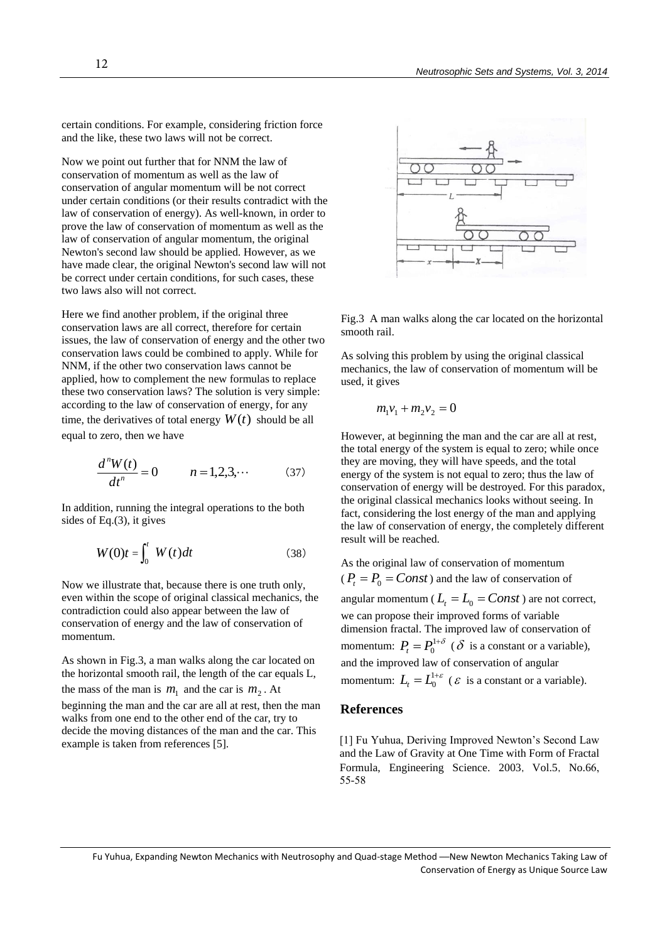certain conditions. For example, considering friction force and the like, these two laws will not be correct.

Now we point out further that for NNM the law of conservation of momentum as well as the law of conservation of angular momentum will be not correct under certain conditions (or their results contradict with the law of conservation of energy). As well-known, in order to prove the law of conservation of momentum as well as the law of conservation of angular momentum, the original Newton's second law should be applied. However, as we have made clear, the original Newton's second law will not be correct under certain conditions, for such cases, these two laws also will not correct.

Here we find another problem, if the original three conservation laws are all correct, therefore for certain issues, the law of conservation of energy and the other two conservation laws could be combined to apply. While for NNM, if the other two conservation laws cannot be applied, how to complement the new formulas to replace these two conservation laws? The solution is very simple: according to the law of conservation of energy, for any time, the derivatives of total energy  $W(t)$  should be all equal to zero, then we have

$$
\frac{d^{n}W(t)}{dt^{n}} = 0 \qquad n = 1, 2, 3, \cdots \qquad (37)
$$

In addition, running the integral operations to the both sides of Eq.(3), it gives

$$
W(0)t = \int_0^t W(t)dt
$$
 (38)

Now we illustrate that, because there is one truth only, even within the scope of original classical mechanics, the contradiction could also appear between the law of conservation of energy and the law of conservation of momentum.

As shown in Fig.3, a man walks along the car located on the horizontal smooth rail, the length of the car equals L, the mass of the man is  $m_1$  and the car is  $m_2$ . At beginning the man and the car are all at rest, then the man walks from one end to the other end of the car, try to decide the moving distances of the man and the car. This example is taken from references [5].



Fig.3 A man walks along the car located on the horizontal smooth rail.

As solving this problem by using the original classical mechanics, the law of conservation of momentum will be used, it gives

$$
m_1v_1 + m_2v_2 = 0
$$

However, at beginning the man and the car are all at rest, the total energy of the system is equal to zero; while once they are moving, they will have speeds, and the total energy of the system is not equal to zero; thus the law of conservation of energy will be destroyed. For this paradox, the original classical mechanics looks without seeing. In fact, considering the lost energy of the man and applying the law of conservation of energy, the completely different result will be reached.

As the original law of conservation of momentum  $(P_t = P_0 = Const)$  and the law of conservation of angular momentum ( $L_t = L_0 = Const$ ) are not correct, we can propose their improved forms of variable dimension fractal. The improved law of conservation of momentum:  $P_t = P_0^{1+\delta}$  ( $\delta$  is a constant or a variable), and the improved law of conservation of angular momentum:  $L_t = L_0^{1+\varepsilon}$  ( $\varepsilon$  is a constant or a variable).

#### **References**

[1] Fu Yuhua, Deriving Improved Newton's Second Law and the Law of Gravity at One Time with Form of Fractal Formula, Engineering Science. 2003, Vol.5, No.66, 55-58